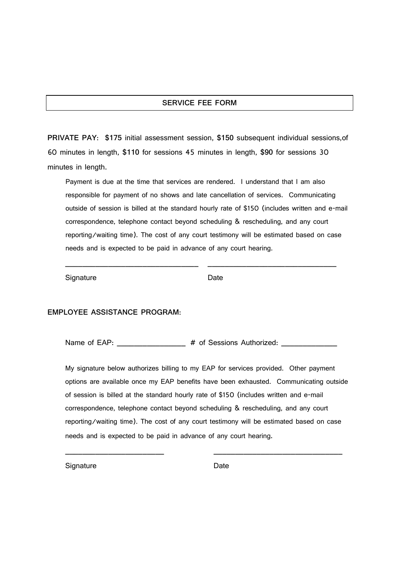## **SERVICE FEE FORM**

**PRIVATE PAY:** \$175 initial assessment session, \$150 subsequent individual sessions, of 60 minutes in length, **\$** for sessions 45 minutes in length, **\$** for sessions 30 minutes in length.

Payment is due at the time that services are rendered. I understand that I am also responsible for payment of no shows and late cancellation of services. Communicating outside of session is billed at the standard hourly rate of \$150 (includes written and e-mail correspondence, telephone contact beyond scheduling & rescheduling, and any court reporting/waiting time). The cost of any court testimony will be estimated based on case needs and is expected to be paid in advance of any court hearing.

\_\_\_\_\_\_\_\_\_\_\_\_\_\_\_\_\_\_\_\_\_\_\_\_\_\_\_\_\_\_\_ \_\_\_\_\_\_\_\_\_\_\_\_\_\_\_\_\_\_\_\_\_\_\_\_\_\_\_\_\_\_

Signature Date

## **EMPLOYEE ASSISTANCE PROGRAM**:

Name of EAP:  $\qquad \qquad \qquad \qquad \qquad \qquad \# \text{ of Sessions Authorized: } \qquad \qquad \qquad \qquad$ 

My signature below authorizes billing to my EAP for services provided. Other payment options are available once my EAP benefits have been exhausted. Communicating outside of session is billed at the standard hourly rate of \$150 (includes written and e-mail correspondence, telephone contact beyond scheduling & rescheduling, and any court reporting/waiting time). The cost of any court testimony will be estimated based on case needs and is expected to be paid in advance of any court hearing.

\_\_\_\_\_\_\_\_\_\_\_\_\_\_\_\_\_\_\_\_\_\_\_ \_\_\_\_\_\_\_\_\_\_\_\_\_\_\_\_\_\_\_\_\_\_\_\_\_\_\_\_\_\_

Signature Date